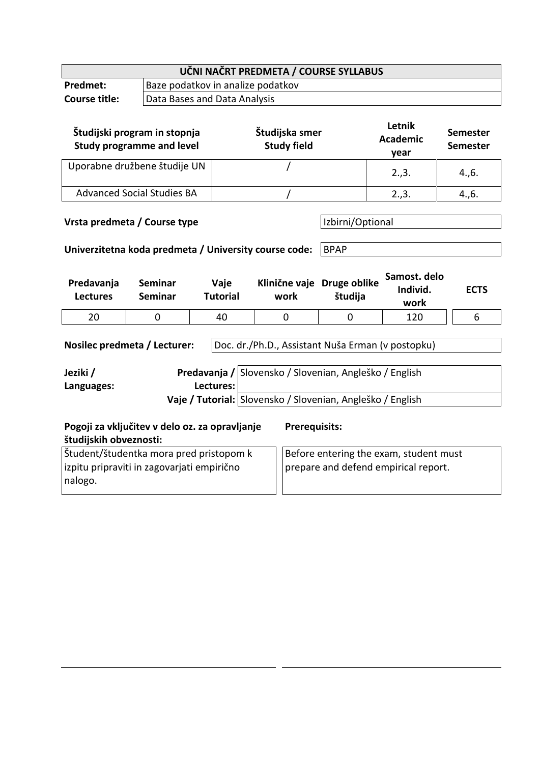| UČNI NAČRT PREDMETA / COURSE SYLLABUS                                                                                    |                                                                  |                              |                                                                                                                                                                           |             |                                   |                             |  |
|--------------------------------------------------------------------------------------------------------------------------|------------------------------------------------------------------|------------------------------|---------------------------------------------------------------------------------------------------------------------------------------------------------------------------|-------------|-----------------------------------|-----------------------------|--|
| Predmet:                                                                                                                 | Baze podatkov in analize podatkov                                |                              |                                                                                                                                                                           |             |                                   |                             |  |
| <b>Course title:</b>                                                                                                     |                                                                  | Data Bases and Data Analysis |                                                                                                                                                                           |             |                                   |                             |  |
|                                                                                                                          | Študijski program in stopnja<br><b>Study programme and level</b> |                              | Študijska smer<br><b>Study field</b>                                                                                                                                      |             | Letnik<br><b>Academic</b><br>year | Semester<br><b>Semester</b> |  |
| Uporabne družbene študije UN                                                                                             |                                                                  |                              |                                                                                                                                                                           |             | 2.,3.                             | 4., 6.                      |  |
|                                                                                                                          | <b>Advanced Social Studies BA</b>                                |                              |                                                                                                                                                                           |             | 2.,3.                             | 4., 6.                      |  |
| Izbirni/Optional<br>Vrsta predmeta / Course type<br>Univerzitetna koda predmeta / University course code:<br><b>BPAP</b> |                                                                  |                              |                                                                                                                                                                           |             |                                   |                             |  |
| Predavanja<br><b>Lectures</b>                                                                                            | <b>Seminar</b>                                                   | Vaje                         | Klinične vaje Druge oblike                                                                                                                                                |             | Samost. delo                      |                             |  |
|                                                                                                                          | <b>Seminar</b>                                                   | <b>Tutorial</b>              | work                                                                                                                                                                      | študija     | Individ.<br>work                  | <b>ECTS</b>                 |  |
| 20                                                                                                                       | 0                                                                | 40                           | $\overline{0}$                                                                                                                                                            | $\mathbf 0$ | 120                               | 6                           |  |
| Nosilec predmeta / Lecturer:<br>Jeziki /<br>Languages:                                                                   |                                                                  | Lectures:                    | Doc. dr./Ph.D., Assistant Nuša Erman (v postopku)<br>Predavanja / Slovensko / Slovenian, Angleško / English<br>Vaje / Tutorial: Slovensko / Slovenian, Angleško / English |             |                                   |                             |  |
| Pogoji za vključitev v delo oz. za opravljanje<br>študijskih obveznosti:                                                 |                                                                  |                              | <b>Prerequisits:</b>                                                                                                                                                      |             |                                   |                             |  |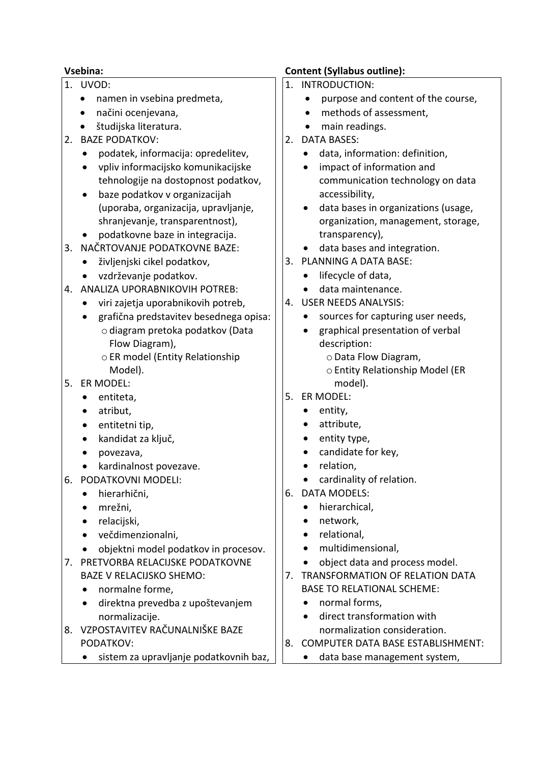- 1. UVOD:
	- namen in vsebina predmeta,
	- načini ocenjevana,
	- študijska literatura.
- 2. BAZE PODATKOV:
	- podatek, informacija: opredelitev,
	- vpliv informacijsko komunikacijske tehnologije na dostopnost podatkov,
	- baze podatkov v organizacijah (uporaba, organizacija, upravljanje, shranjevanje, transparentnost),
	- podatkovne baze in integracija.
- 3. NAČRTOVANJE PODATKOVNE BAZE:
	- življenjski cikel podatkov,
	- vzdrževanje podatkov.
- 4. ANALIZA UPORABNIKOVIH POTREB:
	- viri zajetja uporabnikovih potreb,
	- grafična predstavitev besednega opisa: odiagram pretoka podatkov (Data Flow Diagram),
		- oER model (Entity Relationship Model).
- 5. ER MODEL:
	- entiteta,
	- atribut,
	- entitetni tip.
	- kandidat za ključ,
	- povezava,
	- kardinalnost povezave.
- 6. PODATKOVNI MODELI:
	- hierarhični,
	- mrežni,
	- relaciiski.
	- večdimenzionalni,
	- objektni model podatkov in procesov.
- 7. PRETVORBA RELACIJSKE PODATKOVNE BAZE V RELACIJSKO SHEMO:
	- normalne forme,
	- direktna prevedba z upoštevanjem normalizacije.
- 8. VZPOSTAVITEV RAČUNALNIŠKE BAZE PODATKOV:
	- sistem za upravljanje podatkovnih baz,

### **Vsebina: Content (Syllabus outline):**

- 1. INTRODUCTION:
	- purpose and content of the course.
	- methods of assessment,
	- main readings.
- 2. DATA BASES:
	- data, information: definition,
	- impact of information and communication technology on data accessibility,
	- data bases in organizations (usage, organization, management, storage, transparency),
	- data bases and integration.
- 3. PLANNING A DATA BASE:
	- lifecycle of data,
	- data maintenance.
- 4. USER NEEDS ANALYSIS:
	- sources for capturing user needs,
	- graphical presentation of verbal description:
		- oData Flow Diagram,
		- oEntity Relationship Model (ER model).
- 5. ER MODEL:
	- entity,
	- attribute,
	- entity type,
	- candidate for key.
	- relation,
	- cardinality of relation.
- 6. DATA MODELS:
	- hierarchical,
	- network,
	- relational,
	- multidimensional,
	- object data and process model.
- 7. TRANSFORMATION OF RELATION DATA BASE TO RELATIONAL SCHEME:
	- normal forms,
	- direct transformation with normalization consideration.
- 8. COMPUTER DATA BASE ESTABLISHMENT:
	- data base management system,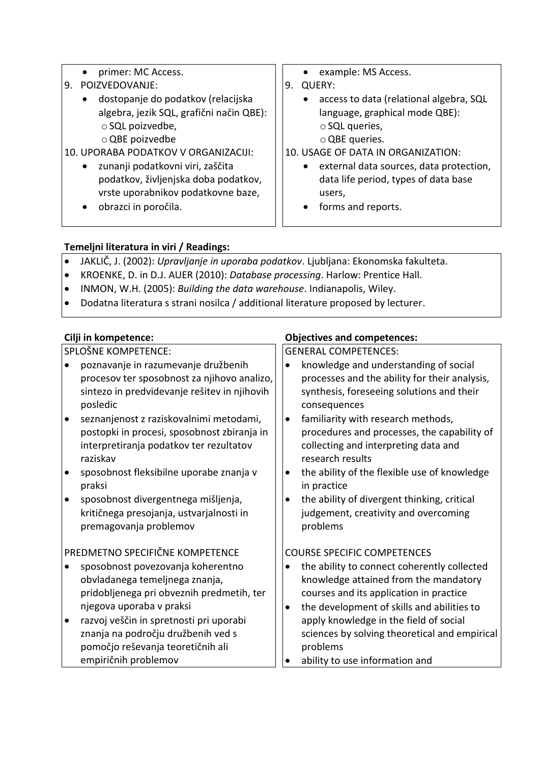- primer: MC Access.
- 9. POIZVEDOVANJE:
	- dostopanje do podatkov (relacijska algebra, jezik SQL, grafični način QBE):  $\circ$  SQL poizvedbe. oQBE poizvedbe

### 10. UPORABA PODATKOV V ORGANIZACIJI:

- zunanji podatkovni viri, zaščita podatkov, življenjska doba podatkov, vrste uporabnikov podatkovne baze,
- obrazci in poročila.
- example: MS Access.
- 9. QUERY:
	- access to data (relational algebra, SQL language, graphical mode QBE): o SQL queries,
		- oQBE queries.

### 10. USAGE OF DATA IN ORGANIZATION:

- external data sources, data protection, data life period, types of data base users,
- forms and reports.

## **Temeljni literatura in viri / Readings:**

- JAKLIČ, J. (2002): *Upravljanje in uporaba podatkov*. Ljubljana: Ekonomska fakulteta.
- KROENKE, D. in D.J. AUER (2010): *Database processing*. Harlow: Prentice Hall.
- INMON, W.H. (2005): *Building the data warehouse*. Indianapolis, Wiley.
- Dodatna literatura s strani nosilca / additional literature proposed by lecturer.

SPLOŠNE KOMPETENCE:

- poznavanje in razumevanje družbenih procesov ter sposobnost za njihovo analizo, sintezo in predvidevanje rešitev in njihovih posledic
- seznanjenost z raziskovalnimi metodami, postopki in procesi, sposobnost zbiranja in interpretiranja podatkov ter rezultatov raziskav
- sposobnost fleksibilne uporabe znanja v praksi
- sposobnost divergentnega mišljenja, kritičnega presojanja, ustvarjalnosti in premagovanja problemov

## PREDMETNO SPECIFIČNE KOMPETENCE

- sposobnost povezovanja koherentno obvladanega temeljnega znanja, pridobljenega pri obveznih predmetih, ter njegova uporaba v praksi
- razvoj veščin in spretnosti pri uporabi znanja na področju družbenih ved s pomočjo reševanja teoretičnih ali empiričnih problemov

# **Cilji in kompetence: Objectives and competences:**

GENERAL COMPETENCES:

- knowledge and understanding of social processes and the ability for their analysis, synthesis, foreseeing solutions and their consequences
- familiarity with research methods, procedures and processes, the capability of collecting and interpreting data and research results
- the ability of the flexible use of knowledge in practice
- the ability of divergent thinking, critical judgement, creativity and overcoming problems

## COURSE SPECIFIC COMPETENCES

- the ability to connect coherently collected knowledge attained from the mandatory courses and its application in practice
- the development of skills and abilities to apply knowledge in the field of social sciences by solving theoretical and empirical problems
- ability to use information and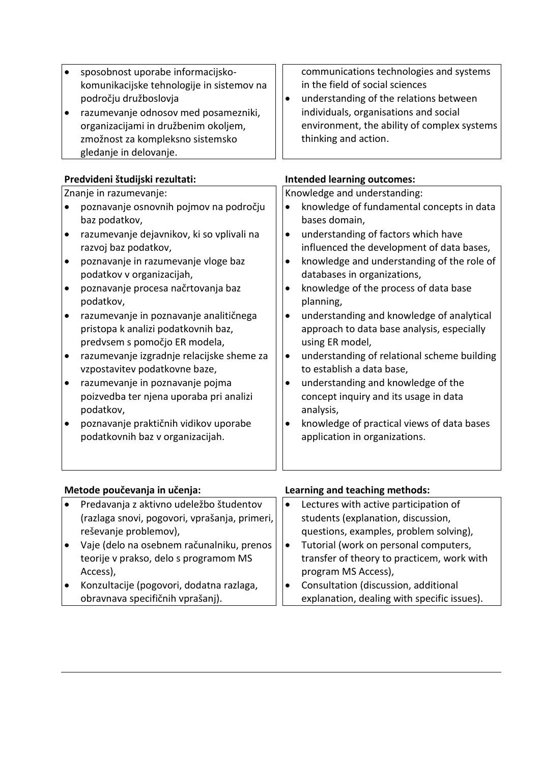| Predvideni študijski rezultati:<br><b>Intended learning outcomes:</b><br>Knowledge and understanding:<br>Znanje in razumevanje:<br>knowledge of fundamental concepts in data<br>poznavanje osnovnih pojmov na področju<br>$\bullet$<br>baz podatkov,<br>bases domain,<br>razumevanje dejavnikov, ki so vplivali na<br>understanding of factors which have<br>$\bullet$<br>$\bullet$<br>influenced the development of data bases,<br>razvoj baz podatkov,<br>knowledge and understanding of the role of<br>poznavanje in razumevanje vloge baz<br>$\bullet$<br>$\bullet$ |
|-------------------------------------------------------------------------------------------------------------------------------------------------------------------------------------------------------------------------------------------------------------------------------------------------------------------------------------------------------------------------------------------------------------------------------------------------------------------------------------------------------------------------------------------------------------------------|
|                                                                                                                                                                                                                                                                                                                                                                                                                                                                                                                                                                         |
|                                                                                                                                                                                                                                                                                                                                                                                                                                                                                                                                                                         |
|                                                                                                                                                                                                                                                                                                                                                                                                                                                                                                                                                                         |
|                                                                                                                                                                                                                                                                                                                                                                                                                                                                                                                                                                         |
|                                                                                                                                                                                                                                                                                                                                                                                                                                                                                                                                                                         |
|                                                                                                                                                                                                                                                                                                                                                                                                                                                                                                                                                                         |
|                                                                                                                                                                                                                                                                                                                                                                                                                                                                                                                                                                         |
| databases in organizations,<br>podatkov v organizacijah,                                                                                                                                                                                                                                                                                                                                                                                                                                                                                                                |
| knowledge of the process of data base<br>poznavanje procesa načrtovanja baz<br>$\bullet$<br>$\bullet$<br>podatkov,<br>planning,                                                                                                                                                                                                                                                                                                                                                                                                                                         |
| razumevanje in poznavanje analitičnega<br>understanding and knowledge of analytical<br>$\bullet$<br>$\bullet$                                                                                                                                                                                                                                                                                                                                                                                                                                                           |
| pristopa k analizi podatkovnih baz,<br>approach to data base analysis, especially<br>predvsem s pomočjo ER modela,<br>using ER model,                                                                                                                                                                                                                                                                                                                                                                                                                                   |
| razumevanje izgradnje relacijske sheme za<br>understanding of relational scheme building<br>$\bullet$<br>$\bullet$                                                                                                                                                                                                                                                                                                                                                                                                                                                      |
| vzpostavitev podatkovne baze,<br>to establish a data base,                                                                                                                                                                                                                                                                                                                                                                                                                                                                                                              |
| understanding and knowledge of the<br>razumevanje in poznavanje pojma<br>$\bullet$<br>٠                                                                                                                                                                                                                                                                                                                                                                                                                                                                                 |
| poizvedba ter njena uporaba pri analizi<br>concept inquiry and its usage in data<br>podatkov,<br>analysis,                                                                                                                                                                                                                                                                                                                                                                                                                                                              |
| poznavanje praktičnih vidikov uporabe<br>knowledge of practical views of data bases<br>$\bullet$<br>$\bullet$                                                                                                                                                                                                                                                                                                                                                                                                                                                           |
| podatkovnih baz v organizacijah.<br>application in organizations.                                                                                                                                                                                                                                                                                                                                                                                                                                                                                                       |
|                                                                                                                                                                                                                                                                                                                                                                                                                                                                                                                                                                         |
|                                                                                                                                                                                                                                                                                                                                                                                                                                                                                                                                                                         |

| Metode poučevanja in učenja: |                                               |           | Learning and teaching methods:              |  |
|------------------------------|-----------------------------------------------|-----------|---------------------------------------------|--|
|                              | Predavanja z aktivno udeležbo študentov       |           | Lectures with active participation of       |  |
|                              | (razlaga snovi, pogovori, vprašanja, primeri, |           | students (explanation, discussion,          |  |
|                              | reševanje problemov),                         |           | questions, examples, problem solving),      |  |
|                              | Vaje (delo na osebnem računalniku, prenos     | $\bullet$ | Tutorial (work on personal computers,       |  |
|                              | teorije v prakso, delo s programom MS         |           | transfer of theory to practicem, work with  |  |
|                              | Access),                                      |           | program MS Access),                         |  |
|                              | Konzultacije (pogovori, dodatna razlaga,      | $\bullet$ | Consultation (discussion, additional        |  |
|                              | obravnava specifičnih vprašanj).              |           | explanation, dealing with specific issues). |  |